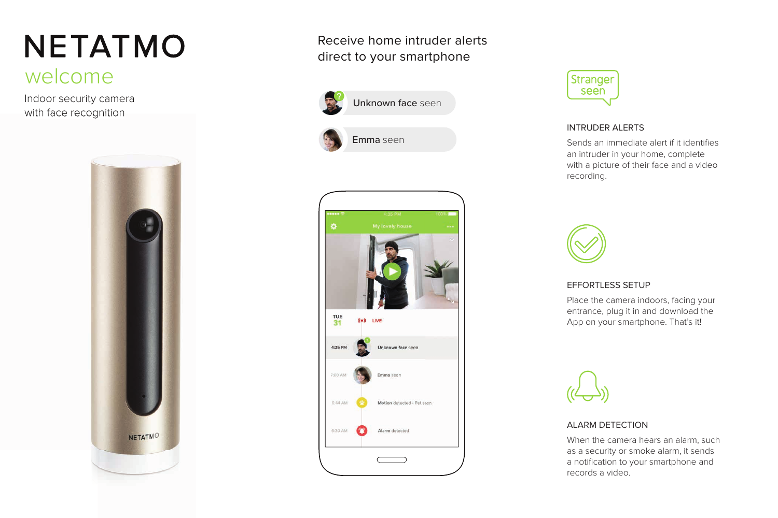# **NETATMO**

# welcome

Indoor security camera with face recognition



Receive home intruder alerts direct to your smartphone





Emma seen





## INTRUDER ALERTS

Sends an immediate alert if it identifies an intruder in your home, complete with a picture of their face and a video recording.



## EFFORTLESS SETUP

Place the camera indoors, facing your entrance, plug it in and download the App on your smartphone. That's it!



# ALARM DETECTION

When the camera hears an alarm, such as a security or smoke alarm, it sends a notification to your smartphone and records a video.